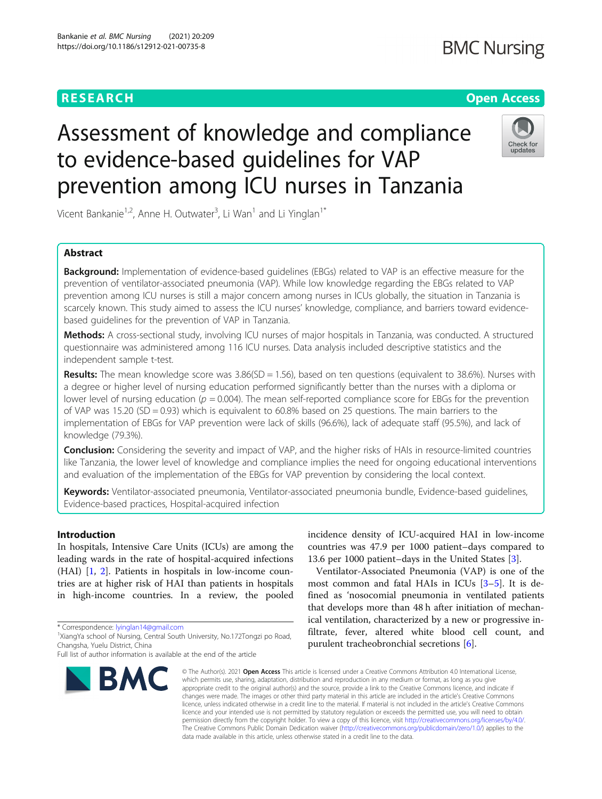## **RESEARCH CHEAR CHEAR CHEAR CHEAR CHEAR CHEAR CHEAR CHEAR CHEAR CHEAR CHEAR CHEAR CHEAR CHEAR CHEAR CHEAR CHEAR**

# Assessment of knowledge and compliance to evidence-based guidelines for VAP prevention among ICU nurses in Tanzania



Vicent Bankanie<sup>1,2</sup>, Anne H. Outwater<sup>3</sup>, Li Wan<sup>1</sup> and Li Yinglan<sup>1\*</sup>

### Abstract

**Background:** Implementation of evidence-based guidelines (EBGs) related to VAP is an effective measure for the prevention of ventilator-associated pneumonia (VAP). While low knowledge regarding the EBGs related to VAP prevention among ICU nurses is still a major concern among nurses in ICUs globally, the situation in Tanzania is scarcely known. This study aimed to assess the ICU nurses' knowledge, compliance, and barriers toward evidencebased guidelines for the prevention of VAP in Tanzania.

Methods: A cross-sectional study, involving ICU nurses of major hospitals in Tanzania, was conducted. A structured questionnaire was administered among 116 ICU nurses. Data analysis included descriptive statistics and the independent sample t-test.

Results: The mean knowledge score was  $3.86(SD = 1.56)$ , based on ten questions (equivalent to 38.6%). Nurses with a degree or higher level of nursing education performed significantly better than the nurses with a diploma or lower level of nursing education ( $p = 0.004$ ). The mean self-reported compliance score for EBGs for the prevention of VAP was 15.20 (SD = 0.93) which is equivalent to 60.8% based on 25 questions. The main barriers to the implementation of EBGs for VAP prevention were lack of skills (96.6%), lack of adequate staff (95.5%), and lack of knowledge (79.3%).

Conclusion: Considering the severity and impact of VAP, and the higher risks of HAIs in resource-limited countries like Tanzania, the lower level of knowledge and compliance implies the need for ongoing educational interventions and evaluation of the implementation of the EBGs for VAP prevention by considering the local context.

Keywords: Ventilator-associated pneumonia, Ventilator-associated pneumonia bundle, Evidence-based quidelines, Evidence-based practices, Hospital-acquired infection

#### Introduction

In hospitals, Intensive Care Units (ICUs) are among the leading wards in the rate of hospital-acquired infections (HAI) [\[1](#page-10-0), [2](#page-10-0)]. Patients in hospitals in low-income countries are at higher risk of HAI than patients in hospitals in high-income countries. In a review, the pooled

\* Correspondence: [lyinglan14@gmail.com](mailto:lyinglan14@gmail.com) <sup>1</sup>

Full list of author information is available at the end of the article



incidence density of ICU-acquired HAI in low-income countries was 47.9 per 1000 patient–days compared to 13.6 per 1000 patient–days in the United States [[3\]](#page-10-0).

Ventilator-Associated Pneumonia (VAP) is one of the most common and fatal HAIs in ICUs [\[3](#page-10-0)–[5](#page-10-0)]. It is defined as 'nosocomial pneumonia in ventilated patients that develops more than 48 h after initiation of mechanical ventilation, characterized by a new or progressive infiltrate, fever, altered white blood cell count, and purulent tracheobronchial secretions [[6](#page-10-0)].

© The Author(s), 2021 **Open Access** This article is licensed under a Creative Commons Attribution 4.0 International License, which permits use, sharing, adaptation, distribution and reproduction in any medium or format, as long as you give appropriate credit to the original author(s) and the source, provide a link to the Creative Commons licence, and indicate if changes were made. The images or other third party material in this article are included in the article's Creative Commons licence, unless indicated otherwise in a credit line to the material. If material is not included in the article's Creative Commons licence and your intended use is not permitted by statutory regulation or exceeds the permitted use, you will need to obtain permission directly from the copyright holder. To view a copy of this licence, visit [http://creativecommons.org/licenses/by/4.0/.](http://creativecommons.org/licenses/by/4.0/) The Creative Commons Public Domain Dedication waiver [\(http://creativecommons.org/publicdomain/zero/1.0/](http://creativecommons.org/publicdomain/zero/1.0/)) applies to the data made available in this article, unless otherwise stated in a credit line to the data.

<sup>&</sup>lt;sup>1</sup>XiangYa school of Nursing, Central South University, No.172Tongzi po Road, Changsha, Yuelu District, China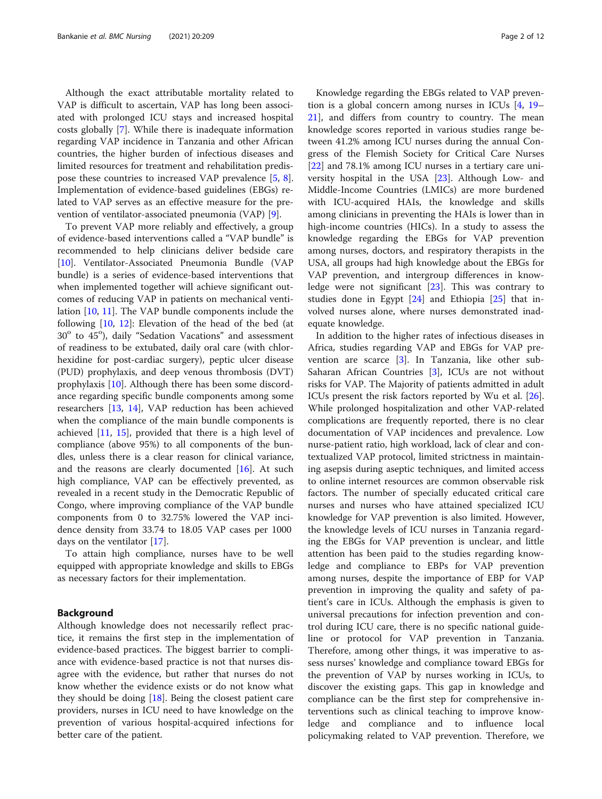Although the exact attributable mortality related to VAP is difficult to ascertain, VAP has long been associated with prolonged ICU stays and increased hospital costs globally [\[7](#page-10-0)]. While there is inadequate information regarding VAP incidence in Tanzania and other African countries, the higher burden of infectious diseases and limited resources for treatment and rehabilitation predispose these countries to increased VAP prevalence [[5,](#page-10-0) [8](#page-10-0)]. Implementation of evidence-based guidelines (EBGs) related to VAP serves as an effective measure for the prevention of ventilator-associated pneumonia (VAP) [\[9](#page-10-0)].

To prevent VAP more reliably and effectively, a group of evidence-based interventions called a "VAP bundle" is recommended to help clinicians deliver bedside care [[10\]](#page-10-0). Ventilator-Associated Pneumonia Bundle (VAP bundle) is a series of evidence-based interventions that when implemented together will achieve significant outcomes of reducing VAP in patients on mechanical ventilation [\[10,](#page-10-0) [11\]](#page-10-0). The VAP bundle components include the following  $[10, 12]$  $[10, 12]$  $[10, 12]$  $[10, 12]$ : Elevation of the head of the bed (at 30° to 45°), daily "Sedation Vacations" and assessment of readiness to be extubated, daily oral care (with chlorhexidine for post-cardiac surgery), peptic ulcer disease (PUD) prophylaxis, and deep venous thrombosis (DVT) prophylaxis [[10\]](#page-10-0). Although there has been some discordance regarding specific bundle components among some researchers [\[13](#page-10-0), [14](#page-10-0)], VAP reduction has been achieved when the compliance of the main bundle components is achieved [\[11,](#page-10-0) [15\]](#page-10-0), provided that there is a high level of compliance (above 95%) to all components of the bundles, unless there is a clear reason for clinical variance, and the reasons are clearly documented  $[16]$  $[16]$ . At such high compliance, VAP can be effectively prevented, as revealed in a recent study in the Democratic Republic of Congo, where improving compliance of the VAP bundle components from 0 to 32.75% lowered the VAP incidence density from 33.74 to 18.05 VAP cases per 1000 days on the ventilator [[17\]](#page-10-0).

To attain high compliance, nurses have to be well equipped with appropriate knowledge and skills to EBGs as necessary factors for their implementation.

#### Background

Although knowledge does not necessarily reflect practice, it remains the first step in the implementation of evidence-based practices. The biggest barrier to compliance with evidence-based practice is not that nurses disagree with the evidence, but rather that nurses do not know whether the evidence exists or do not know what they should be doing [\[18](#page-10-0)]. Being the closest patient care providers, nurses in ICU need to have knowledge on the prevention of various hospital-acquired infections for better care of the patient.

Knowledge regarding the EBGs related to VAP prevention is a global concern among nurses in ICUs [[4,](#page-10-0) [19](#page-10-0)– [21\]](#page-10-0), and differs from country to country. The mean knowledge scores reported in various studies range between 41.2% among ICU nurses during the annual Congress of the Flemish Society for Critical Care Nurses [[22\]](#page-10-0) and 78.1% among ICU nurses in a tertiary care university hospital in the USA [\[23\]](#page-10-0). Although Low- and Middle-Income Countries (LMICs) are more burdened with ICU-acquired HAIs, the knowledge and skills among clinicians in preventing the HAIs is lower than in high-income countries (HICs). In a study to assess the knowledge regarding the EBGs for VAP prevention among nurses, doctors, and respiratory therapists in the USA, all groups had high knowledge about the EBGs for VAP prevention, and intergroup differences in knowledge were not significant [[23\]](#page-10-0). This was contrary to studies done in Egypt [[24](#page-10-0)] and Ethiopia [[25\]](#page-10-0) that involved nurses alone, where nurses demonstrated inadequate knowledge.

In addition to the higher rates of infectious diseases in Africa, studies regarding VAP and EBGs for VAP prevention are scarce [[3\]](#page-10-0). In Tanzania, like other sub-Saharan African Countries  $[3]$  $[3]$  $[3]$ , ICUs are not without risks for VAP. The Majority of patients admitted in adult ICUs present the risk factors reported by Wu et al. [\[26](#page-10-0)]. While prolonged hospitalization and other VAP-related complications are frequently reported, there is no clear documentation of VAP incidences and prevalence. Low nurse-patient ratio, high workload, lack of clear and contextualized VAP protocol, limited strictness in maintaining asepsis during aseptic techniques, and limited access to online internet resources are common observable risk factors. The number of specially educated critical care nurses and nurses who have attained specialized ICU knowledge for VAP prevention is also limited. However, the knowledge levels of ICU nurses in Tanzania regarding the EBGs for VAP prevention is unclear, and little attention has been paid to the studies regarding knowledge and compliance to EBPs for VAP prevention among nurses, despite the importance of EBP for VAP prevention in improving the quality and safety of patient's care in ICUs. Although the emphasis is given to universal precautions for infection prevention and control during ICU care, there is no specific national guideline or protocol for VAP prevention in Tanzania. Therefore, among other things, it was imperative to assess nurses' knowledge and compliance toward EBGs for the prevention of VAP by nurses working in ICUs, to discover the existing gaps. This gap in knowledge and compliance can be the first step for comprehensive interventions such as clinical teaching to improve knowledge and compliance and to influence local policymaking related to VAP prevention. Therefore, we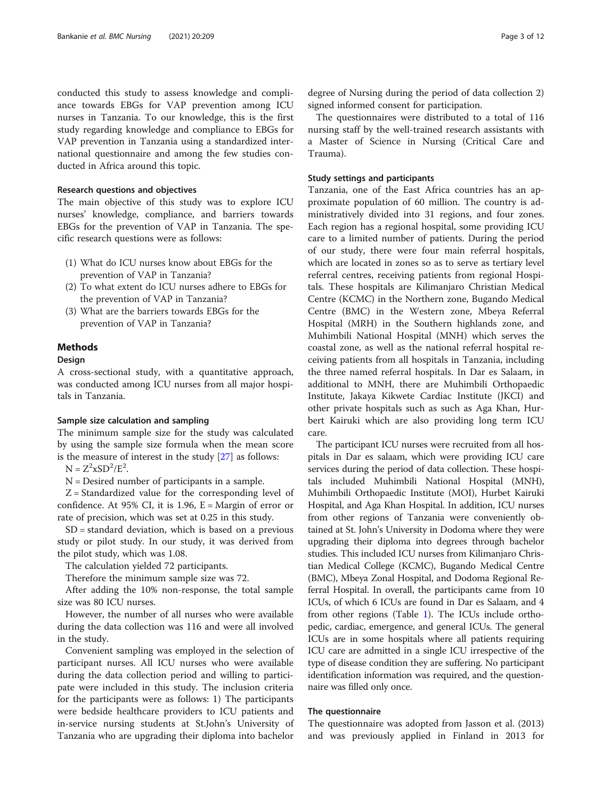conducted this study to assess knowledge and compliance towards EBGs for VAP prevention among ICU nurses in Tanzania. To our knowledge, this is the first study regarding knowledge and compliance to EBGs for VAP prevention in Tanzania using a standardized international questionnaire and among the few studies conducted in Africa around this topic.

#### Research questions and objectives

The main objective of this study was to explore ICU nurses' knowledge, compliance, and barriers towards EBGs for the prevention of VAP in Tanzania. The specific research questions were as follows:

- (1) What do ICU nurses know about EBGs for the prevention of VAP in Tanzania?
- (2) To what extent do ICU nurses adhere to EBGs for the prevention of VAP in Tanzania?
- (3) What are the barriers towards EBGs for the prevention of VAP in Tanzania?

#### **Methods**

#### Design

A cross-sectional study, with a quantitative approach, was conducted among ICU nurses from all major hospitals in Tanzania.

#### Sample size calculation and sampling

The minimum sample size for the study was calculated by using the sample size formula when the mean score is the measure of interest in the study [\[27\]](#page-10-0) as follows:

 $N = Z^2 xSD^2/E^2$ .

N = Desired number of participants in a sample.

 $Z =$  Standardized value for the corresponding level of confidence. At 95% CI, it is 1.96,  $E =$  Margin of error or rate of precision, which was set at 0.25 in this study.

SD = standard deviation, which is based on a previous study or pilot study. In our study, it was derived from the pilot study, which was 1.08.

The calculation yielded 72 participants.

Therefore the minimum sample size was 72.

After adding the 10% non-response, the total sample size was 80 ICU nurses.

However, the number of all nurses who were available during the data collection was 116 and were all involved in the study.

Convenient sampling was employed in the selection of participant nurses. All ICU nurses who were available during the data collection period and willing to participate were included in this study. The inclusion criteria for the participants were as follows: 1) The participants were bedside healthcare providers to ICU patients and in-service nursing students at St.John's University of Tanzania who are upgrading their diploma into bachelor

degree of Nursing during the period of data collection 2) signed informed consent for participation.

The questionnaires were distributed to a total of 116 nursing staff by the well-trained research assistants with a Master of Science in Nursing (Critical Care and Trauma).

#### Study settings and participants

Tanzania, one of the East Africa countries has an approximate population of 60 million. The country is administratively divided into 31 regions, and four zones. Each region has a regional hospital, some providing ICU care to a limited number of patients. During the period of our study, there were four main referral hospitals, which are located in zones so as to serve as tertiary level referral centres, receiving patients from regional Hospitals. These hospitals are Kilimanjaro Christian Medical Centre (KCMC) in the Northern zone, Bugando Medical Centre (BMC) in the Western zone, Mbeya Referral Hospital (MRH) in the Southern highlands zone, and Muhimbili National Hospital (MNH) which serves the coastal zone, as well as the national referral hospital receiving patients from all hospitals in Tanzania, including the three named referral hospitals. In Dar es Salaam, in additional to MNH, there are Muhimbili Orthopaedic Institute, Jakaya Kikwete Cardiac Institute (JKCI) and other private hospitals such as such as Aga Khan, Hurbert Kairuki which are also providing long term ICU care.

The participant ICU nurses were recruited from all hospitals in Dar es salaam, which were providing ICU care services during the period of data collection. These hospitals included Muhimbili National Hospital (MNH), Muhimbili Orthopaedic Institute (MOI), Hurbet Kairuki Hospital, and Aga Khan Hospital. In addition, ICU nurses from other regions of Tanzania were conveniently obtained at St. John's University in Dodoma where they were upgrading their diploma into degrees through bachelor studies. This included ICU nurses from Kilimanjaro Christian Medical College (KCMC), Bugando Medical Centre (BMC), Mbeya Zonal Hospital, and Dodoma Regional Referral Hospital. In overall, the participants came from 10 ICUs, of which 6 ICUs are found in Dar es Salaam, and 4 from other regions (Table [1\)](#page-3-0). The ICUs include orthopedic, cardiac, emergence, and general ICUs. The general ICUs are in some hospitals where all patients requiring ICU care are admitted in a single ICU irrespective of the type of disease condition they are suffering. No participant identification information was required, and the questionnaire was filled only once.

#### The questionnaire

The questionnaire was adopted from Jasson et al. (2013) and was previously applied in Finland in 2013 for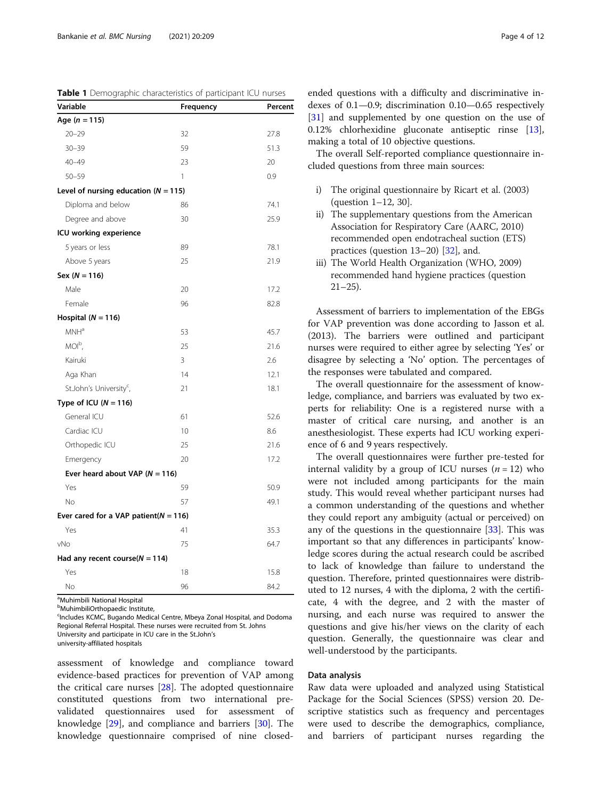| Variable                                  | Frequency | Percent |
|-------------------------------------------|-----------|---------|
| Age $(n = 115)$                           |           |         |
| $20 - 29$                                 | 32        | 27.8    |
| $30 - 39$                                 | 59        | 51.3    |
| $40 - 49$                                 | 23        | 20      |
| $50 - 59$                                 | 1         | 0.9     |
| Level of nursing education ( $N = 115$ )  |           |         |
| Diploma and below                         | 86        | 74.1    |
| Degree and above                          | 30        | 25.9    |
| ICU working experience                    |           |         |
| 5 years or less                           | 89        | 78.1    |
| Above 5 years                             | 25        | 21.9    |
| $Sex (N = 116)$                           |           |         |
| Male                                      | 20        | 17.2    |
| Female                                    | 96        | 82.8    |
| Hospital ( $N = 116$ )                    |           |         |
| MNH <sup>a</sup>                          | 53        | 45.7    |
| $MOI^b$ ,                                 | 25        | 21.6    |
| Kairuki                                   | 3         | 2.6     |
| Aga Khan                                  | 14        | 12.1    |
| St.John's University <sup>c</sup> ,       | 21        | 18.1    |
| Type of ICU ( $N = 116$ )                 |           |         |
| General ICU                               | 61        | 52.6    |
| Cardiac ICU                               | 10        | 8.6     |
| Orthopedic ICU                            | 25        | 21.6    |
| Emergency                                 | 20        | 17.2    |
| Ever heard about VAP ( $N = 116$ )        |           |         |
| Yes                                       | 59        | 50.9    |
| No                                        | 57        | 49.1    |
| Ever cared for a VAP patient( $N = 116$ ) |           |         |
| Yes                                       | 41        | 35.3    |
| vNo                                       | 75        | 64.7    |
| Had any recent course( $N = 114$ )        |           |         |
| Yes                                       | 18        | 15.8    |
| No                                        | 96        | 84.2    |

<span id="page-3-0"></span>Table 1 Demographic characteristics of participant ICU nurses

<sup>a</sup>Muhimbili National Hospital

**b**MuhimbiliOrthopaedic Institute, <sup>c</sup>Includes KCMC, Bugando Medical Centre, Mbeya Zonal Hospital, and Dodoma

Regional Referral Hospital. These nurses were recruited from St. Johns

University and participate in ICU care in the St.John's

university-affiliated hospitals

assessment of knowledge and compliance toward evidence-based practices for prevention of VAP among the critical care nurses [\[28](#page-10-0)]. The adopted questionnaire constituted questions from two international prevalidated questionnaires used for assessment of knowledge [[29](#page-10-0)], and compliance and barriers [[30\]](#page-11-0). The knowledge questionnaire comprised of nine closedended questions with a difficulty and discriminative indexes of 0.1—0.9; discrimination 0.10—0.65 respectively [[31\]](#page-11-0) and supplemented by one question on the use of 0.12% chlorhexidine gluconate antiseptic rinse [\[13](#page-10-0)], making a total of 10 objective questions.

The overall Self-reported compliance questionnaire included questions from three main sources:

- i) The original questionnaire by Ricart et al. (2003) (question 1–12, 30].
- ii) The supplementary questions from the American Association for Respiratory Care (AARC, 2010) recommended open endotracheal suction (ETS) practices (question  $13-20$ ) [ $32$ ], and.
- iii) The World Health Organization (WHO, 2009) recommended hand hygiene practices (question  $21-25$ ).

Assessment of barriers to implementation of the EBGs for VAP prevention was done according to Jasson et al. (2013). The barriers were outlined and participant nurses were required to either agree by selecting 'Yes' or disagree by selecting a 'No' option. The percentages of the responses were tabulated and compared.

The overall questionnaire for the assessment of knowledge, compliance, and barriers was evaluated by two experts for reliability: One is a registered nurse with a master of critical care nursing, and another is an anesthesiologist. These experts had ICU working experience of 6 and 9 years respectively.

The overall questionnaires were further pre-tested for internal validity by a group of ICU nurses  $(n = 12)$  who were not included among participants for the main study. This would reveal whether participant nurses had a common understanding of the questions and whether they could report any ambiguity (actual or perceived) on any of the questions in the questionnaire  $[33]$ . This was important so that any differences in participants' knowledge scores during the actual research could be ascribed to lack of knowledge than failure to understand the question. Therefore, printed questionnaires were distributed to 12 nurses, 4 with the diploma, 2 with the certificate, 4 with the degree, and 2 with the master of nursing, and each nurse was required to answer the questions and give his/her views on the clarity of each question. Generally, the questionnaire was clear and well-understood by the participants.

#### Data analysis

Raw data were uploaded and analyzed using Statistical Package for the Social Sciences (SPSS) version 20. Descriptive statistics such as frequency and percentages were used to describe the demographics, compliance, and barriers of participant nurses regarding the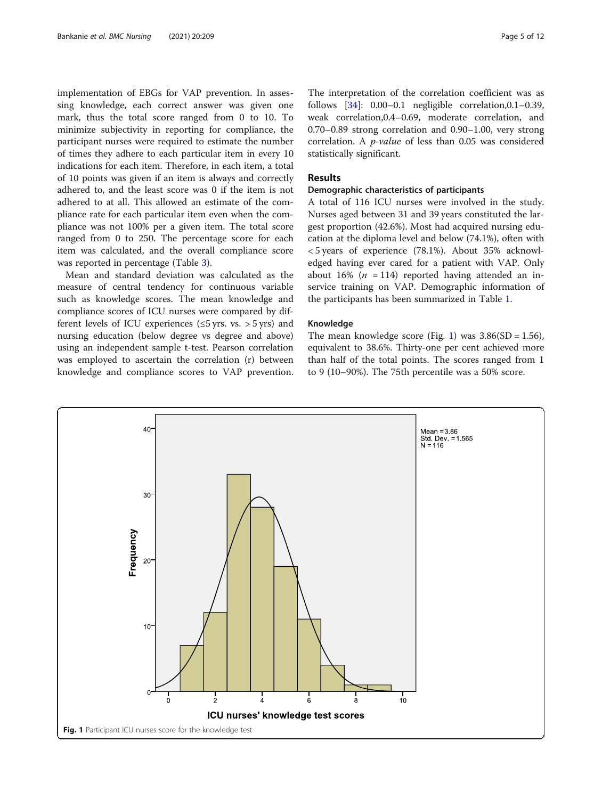implementation of EBGs for VAP prevention. In assessing knowledge, each correct answer was given one mark, thus the total score ranged from 0 to 10. To minimize subjectivity in reporting for compliance, the participant nurses were required to estimate the number of times they adhere to each particular item in every 10 indications for each item. Therefore, in each item, a total of 10 points was given if an item is always and correctly adhered to, and the least score was 0 if the item is not adhered to at all. This allowed an estimate of the compliance rate for each particular item even when the compliance was not 100% per a given item. The total score ranged from 0 to 250. The percentage score for each item was calculated, and the overall compliance score was reported in percentage (Table [3\)](#page-7-0).

Mean and standard deviation was calculated as the measure of central tendency for continuous variable such as knowledge scores. The mean knowledge and compliance scores of ICU nurses were compared by different levels of ICU experiences ( $\leq$ 5 yrs. vs. > 5 yrs) and nursing education (below degree vs degree and above) using an independent sample t-test. Pearson correlation was employed to ascertain the correlation (r) between knowledge and compliance scores to VAP prevention.

The interpretation of the correlation coefficient was as follows [\[34\]](#page-11-0): 0.00–0.1 negligible correlation,0.1–0.39, weak correlation,0.4–0.69, moderate correlation, and 0.70–0.89 strong correlation and 0.90–1.00, very strong correlation. A p-value of less than 0.05 was considered statistically significant.

#### Results

#### Demographic characteristics of participants

A total of 116 ICU nurses were involved in the study. Nurses aged between 31 and 39 years constituted the largest proportion (42.6%). Most had acquired nursing education at the diploma level and below (74.1%), often with < 5 years of experience (78.1%). About 35% acknowledged having ever cared for a patient with VAP. Only about 16% ( $n = 114$ ) reported having attended an inservice training on VAP. Demographic information of the participants has been summarized in Table [1.](#page-3-0)

#### Knowledge

The mean knowledge score (Fig. 1) was  $3.86(SD = 1.56)$ , equivalent to 38.6%. Thirty-one per cent achieved more than half of the total points. The scores ranged from 1 to 9 (10–90%). The 75th percentile was a 50% score.

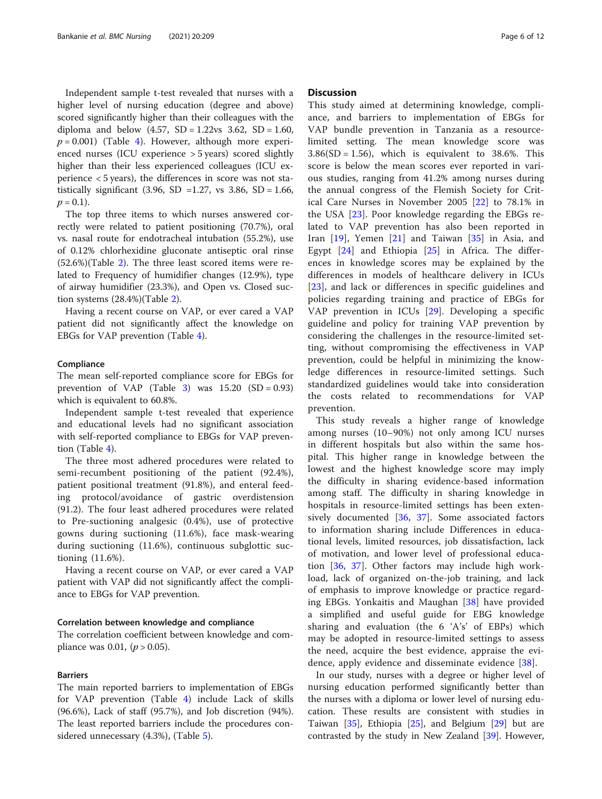Independent sample t-test revealed that nurses with a higher level of nursing education (degree and above) scored significantly higher than their colleagues with the diploma and below  $(4.57, SD = 1.22 \text{vs } 3.62, SD = 1.60,$  $p = 0.001$ ) (Table [4\)](#page-8-0). However, although more experienced nurses (ICU experience > 5 years) scored slightly higher than their less experienced colleagues (ICU experience < 5 years), the differences in score was not statistically significant (3.96, SD = 1.27, vs 3.86, SD = 1.66,  $p = 0.1$ ).

The top three items to which nurses answered correctly were related to patient positioning (70.7%), oral vs. nasal route for endotracheal intubation (55.2%), use of 0.12% chlorhexidine gluconate antiseptic oral rinse (52.6%)(Table [2\)](#page-6-0). The three least scored items were related to Frequency of humidifier changes (12.9%), type of airway humidifier (23.3%), and Open vs. Closed suction systems (28.4%)(Table [2](#page-6-0)).

Having a recent course on VAP, or ever cared a VAP patient did not significantly affect the knowledge on EBGs for VAP prevention (Table [4\)](#page-8-0).

#### Compliance

The mean self-reported compliance score for EBGs for prevention of VAP (Table [3\)](#page-7-0) was  $15.20$  (SD = 0.93) which is equivalent to 60.8%.

Independent sample t-test revealed that experience and educational levels had no significant association with self-reported compliance to EBGs for VAP prevention (Table [4\)](#page-8-0).

The three most adhered procedures were related to semi-recumbent positioning of the patient (92.4%), patient positional treatment (91.8%), and enteral feeding protocol/avoidance of gastric overdistension (91.2). The four least adhered procedures were related to Pre-suctioning analgesic (0.4%), use of protective gowns during suctioning (11.6%), face mask-wearing during suctioning (11.6%), continuous subglottic suctioning (11.6%).

Having a recent course on VAP, or ever cared a VAP patient with VAP did not significantly affect the compliance to EBGs for VAP prevention.

#### Correlation between knowledge and compliance

The correlation coefficient between knowledge and compliance was 0.01,  $(p > 0.05)$ .

#### Barriers

The main reported barriers to implementation of EBGs for VAP prevention (Table [4](#page-8-0)) include Lack of skills (96.6%), Lack of staff (95.7%), and Job discretion (94%). The least reported barriers include the procedures considered unnecessary (4.3%), (Table [5](#page-8-0)).

#### **Discussion**

This study aimed at determining knowledge, compliance, and barriers to implementation of EBGs for VAP bundle prevention in Tanzania as a resourcelimited setting. The mean knowledge score was  $3.86(SD = 1.56)$ , which is equivalent to 38.6%. This score is below the mean scores ever reported in various studies, ranging from 41.2% among nurses during the annual congress of the Flemish Society for Critical Care Nurses in November 2005 [[22\]](#page-10-0) to 78.1% in the USA [\[23](#page-10-0)]. Poor knowledge regarding the EBGs related to VAP prevention has also been reported in Iran  $[19]$  $[19]$ , Yemen  $[21]$  $[21]$  and Taiwan  $[35]$  $[35]$  in Asia, and Egypt [[24\]](#page-10-0) and Ethiopia [[25\]](#page-10-0) in Africa. The differences in knowledge scores may be explained by the differences in models of healthcare delivery in ICUs [[23\]](#page-10-0), and lack or differences in specific guidelines and policies regarding training and practice of EBGs for VAP prevention in ICUs [[29](#page-10-0)]. Developing a specific guideline and policy for training VAP prevention by considering the challenges in the resource-limited setting, without compromising the effectiveness in VAP prevention, could be helpful in minimizing the knowledge differences in resource-limited settings. Such standardized guidelines would take into consideration the costs related to recommendations for VAP prevention.

This study reveals a higher range of knowledge among nurses (10–90%) not only among ICU nurses in different hospitals but also within the same hospital. This higher range in knowledge between the lowest and the highest knowledge score may imply the difficulty in sharing evidence-based information among staff. The difficulty in sharing knowledge in hospitals in resource-limited settings has been extensively documented [\[36](#page-11-0), [37](#page-11-0)]. Some associated factors to information sharing include Differences in educational levels, limited resources, job dissatisfaction, lack of motivation, and lower level of professional education [[36,](#page-11-0) [37\]](#page-11-0). Other factors may include high workload, lack of organized on-the-job training, and lack of emphasis to improve knowledge or practice regarding EBGs. Yonkaitis and Maughan [\[38](#page-11-0)] have provided a simplified and useful guide for EBG knowledge sharing and evaluation (the 6 'A's' of EBPs) which may be adopted in resource-limited settings to assess the need, acquire the best evidence, appraise the evidence, apply evidence and disseminate evidence [\[38](#page-11-0)].

In our study, nurses with a degree or higher level of nursing education performed significantly better than the nurses with a diploma or lower level of nursing education. These results are consistent with studies in Taiwan [\[35](#page-11-0)], Ethiopia [\[25\]](#page-10-0), and Belgium [[29\]](#page-10-0) but are contrasted by the study in New Zealand [[39\]](#page-11-0). However,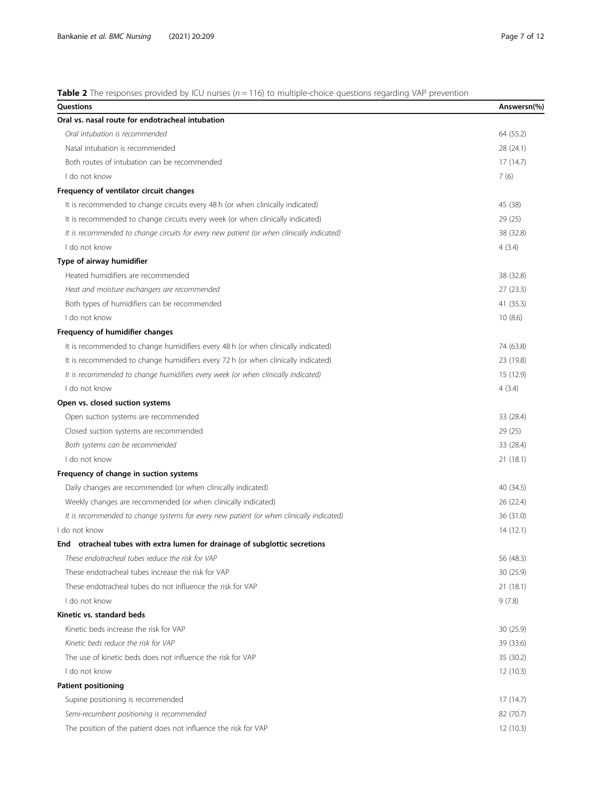<span id="page-6-0"></span>**Table 2** The responses provided by ICU nurses ( $n = 116$ ) to multiple-choice questions regarding VAP prevention

| Questions                                                                                 | Answersn(%) |
|-------------------------------------------------------------------------------------------|-------------|
| Oral vs. nasal route for endotracheal intubation                                          |             |
| Oral intubation is recommended                                                            | 64 (55.2)   |
| Nasal intubation is recommended                                                           | 28 (24.1)   |
| Both routes of intubation can be recommended                                              | 17(14.7)    |
| I do not know                                                                             | 7(6)        |
| Frequency of ventilator circuit changes                                                   |             |
| It is recommended to change circuits every 48 h (or when clinically indicated)            | 45 (38)     |
| It is recommended to change circuits every week (or when clinically indicated)            | 29(25)      |
| It is recommended to change circuits for every new patient (or when clinically indicated) | 38 (32.8)   |
| I do not know                                                                             | 4(3.4)      |
| Type of airway humidifier                                                                 |             |
| Heated humidifiers are recommended                                                        | 38 (32.8)   |
| Heat and moisture exchangers are recommended                                              | 27(23.3)    |
| Both types of humidifiers can be recommended                                              | 41(35.3)    |
| I do not know                                                                             | 10(8.6)     |
| Frequency of humidifier changes                                                           |             |
| It is recommended to change humidifiers every 48 h (or when clinically indicated)         | 74 (63.8)   |
| It is recommended to change humidifiers every 72 h (or when clinically indicated)         | 23 (19.8)   |
| It is recommended to change humidifiers every week (or when clinically indicated)         | 15(12.9)    |
| I do not know                                                                             | 4(3.4)      |
| Open vs. closed suction systems                                                           |             |
| Open suction systems are recommended                                                      | 33 (28.4)   |
| Closed suction systems are recommended                                                    | 29(25)      |
| Both systems can be recommended                                                           | 33 (28.4)   |
| I do not know                                                                             | 21(18.1)    |
| Frequency of change in suction systems                                                    |             |
| Daily changes are recommended (or when clinically indicated)                              | 40 (34.5)   |
| Weekly changes are recommended (or when clinically indicated)                             | 26(22.4)    |
| It is recommended to change systems for every new patient (or when clinically indicated)  | 36 (31.0)   |
| I do not know                                                                             | 14(12.1)    |
| End otracheal tubes with extra lumen for drainage of subglottic secretions                |             |
| These endotracheal tubes reduce the risk for VAP                                          | 56 (48.3)   |
| These endotracheal tubes increase the risk for VAP                                        | 30 (25.9)   |
| These endotracheal tubes do not influence the risk for VAP                                | 21(18.1)    |
| I do not know                                                                             | 9(7.8)      |
| Kinetic vs. standard beds                                                                 |             |
| Kinetic beds increase the risk for VAP                                                    | 30(25.9)    |
| Kinetic beds reduce the risk for VAP                                                      | 39 (33.6)   |
| The use of kinetic beds does not influence the risk for VAP                               | 35 (30.2)   |
| I do not know                                                                             | 12(10.3)    |
| <b>Patient positioning</b>                                                                |             |
| Supine positioning is recommended                                                         | 17 (14.7)   |
| Semi-recumbent positioning is recommended                                                 | 82 (70.7)   |
| The position of the patient does not influence the risk for VAP                           | 12(10.3)    |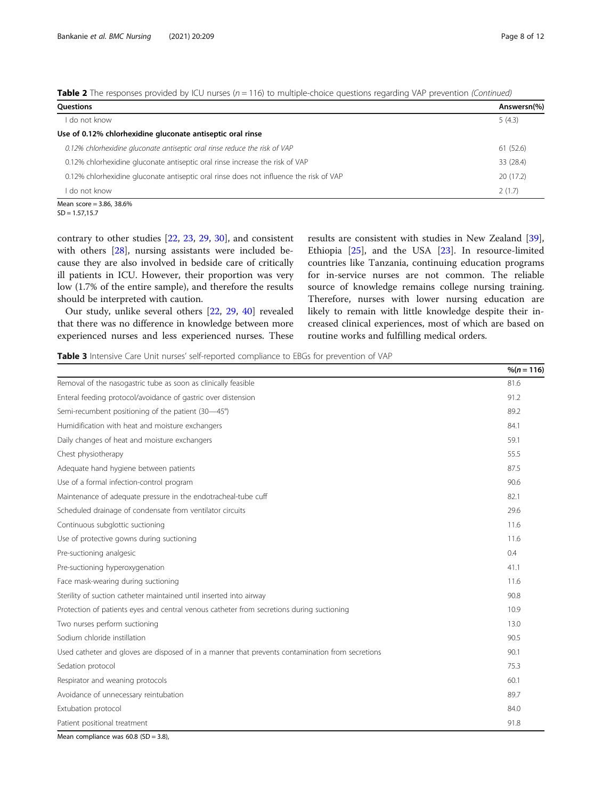<span id="page-7-0"></span>

| Table 2 The responses provided by ICU nurses (n = 116) to multiple-choice questions regarding VAP prevention (Continued) |  |  |  |  |
|--------------------------------------------------------------------------------------------------------------------------|--|--|--|--|
|--------------------------------------------------------------------------------------------------------------------------|--|--|--|--|

| Questions                                                                              | Answersn(%) |
|----------------------------------------------------------------------------------------|-------------|
| do not know                                                                            | 5(4.3)      |
| Use of 0.12% chlorhexidine gluconate antiseptic oral rinse                             |             |
| 0.12% chlorhexidine gluconate antiseptic oral rinse reduce the risk of VAP             | 61 (52.6)   |
| 0.12% chlorhexidine gluconate antiseptic oral rinse increase the risk of VAP           | 33 (28.4)   |
| 0.12% chlorhexidine gluconate antiseptic oral rinse does not influence the risk of VAP | 20(17.2)    |
| do not know                                                                            | 2(1.7)      |
| $M_{222}$ $500 - 206$ $2060$                                                           |             |

Mean score = 3.86, 38.6%  $SD = 1.57, 15.7$ 

contrary to other studies [\[22,](#page-10-0) [23](#page-10-0), [29,](#page-10-0) [30](#page-11-0)], and consistent with others [\[28](#page-10-0)], nursing assistants were included because they are also involved in bedside care of critically ill patients in ICU. However, their proportion was very low (1.7% of the entire sample), and therefore the results should be interpreted with caution.

Our study, unlike several others [[22](#page-10-0), [29,](#page-10-0) [40\]](#page-11-0) revealed that there was no difference in knowledge between more experienced nurses and less experienced nurses. These results are consistent with studies in New Zealand [\[39](#page-11-0)], Ethiopia [[25](#page-10-0)], and the USA [\[23\]](#page-10-0). In resource-limited countries like Tanzania, continuing education programs for in-service nurses are not common. The reliable source of knowledge remains college nursing training. Therefore, nurses with lower nursing education are likely to remain with little knowledge despite their increased clinical experiences, most of which are based on routine works and fulfilling medical orders.

Table 3 Intensive Care Unit nurses' self-reported compliance to EBGs for prevention of VAP

|                                                                                                  | $%$ (n = 116) |
|--------------------------------------------------------------------------------------------------|---------------|
| Removal of the nasogastric tube as soon as clinically feasible                                   | 81.6          |
| Enteral feeding protocol/avoidance of gastric over distension                                    | 91.2          |
| Semi-recumbent positioning of the patient (30-45°)                                               | 89.2          |
| Humidification with heat and moisture exchangers                                                 | 84.1          |
| Daily changes of heat and moisture exchangers                                                    | 59.1          |
| Chest physiotherapy                                                                              | 55.5          |
| Adequate hand hygiene between patients                                                           | 87.5          |
| Use of a formal infection-control program                                                        | 90.6          |
| Maintenance of adequate pressure in the endotracheal-tube cuff                                   | 82.1          |
| Scheduled drainage of condensate from ventilator circuits                                        | 29.6          |
| Continuous subglottic suctioning                                                                 | 11.6          |
| Use of protective gowns during suctioning                                                        | 11.6          |
| Pre-suctioning analgesic                                                                         | 0.4           |
| Pre-suctioning hyperoxygenation                                                                  | 41.1          |
| Face mask-wearing during suctioning                                                              | 11.6          |
| Sterility of suction catheter maintained until inserted into airway                              | 90.8          |
| Protection of patients eyes and central venous catheter from secretions during suctioning        | 10.9          |
| Two nurses perform suctioning                                                                    | 13.0          |
| Sodium chloride instillation                                                                     | 90.5          |
| Used catheter and gloves are disposed of in a manner that prevents contamination from secretions | 90.1          |
| Sedation protocol                                                                                | 75.3          |
| Respirator and weaning protocols                                                                 | 60.1          |
| Avoidance of unnecessary reintubation                                                            | 89.7          |
| Extubation protocol                                                                              | 84.0          |
| Patient positional treatment                                                                     | 91.8          |

Mean compliance was  $60.8$  (SD = 3.8),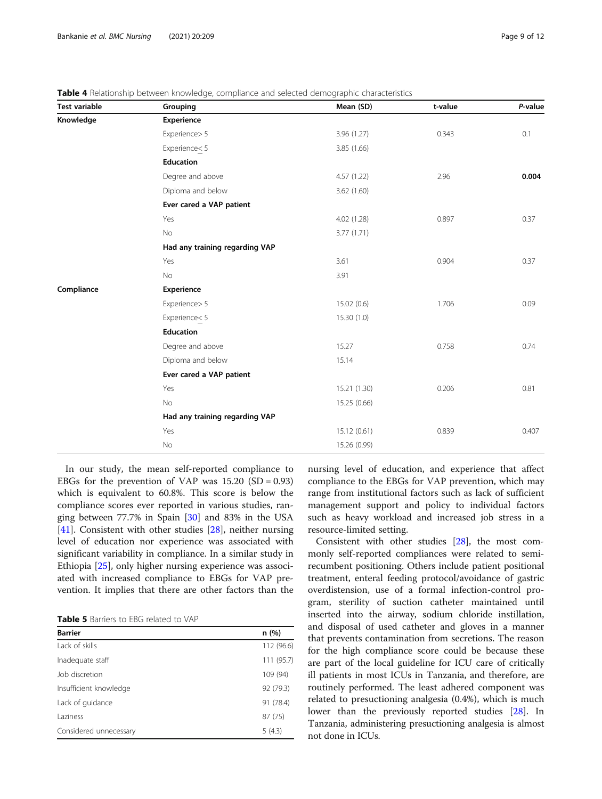| <b>Test variable</b> | Grouping                       | Mean (SD)    | t-value | P-value |
|----------------------|--------------------------------|--------------|---------|---------|
| Knowledge            | Experience                     |              |         |         |
|                      | Experience> 5                  | 3.96 (1.27)  | 0.343   | 0.1     |
|                      | Experience<5                   | 3.85 (1.66)  |         |         |
|                      | Education                      |              |         |         |
|                      | Degree and above               | 4.57(1.22)   | 2.96    | 0.004   |
|                      | Diploma and below              | 3.62(1.60)   |         |         |
|                      | Ever cared a VAP patient       |              |         |         |
|                      | Yes                            | 4.02(1.28)   | 0.897   | 0.37    |
|                      | No                             | 3.77 (1.71)  |         |         |
|                      | Had any training regarding VAP |              |         |         |
|                      | Yes                            | 3.61         | 0.904   | 0.37    |
|                      | No                             | 3.91         |         |         |
| Compliance           | <b>Experience</b>              |              |         |         |
|                      | Experience> 5                  | 15.02(0.6)   | 1.706   | 0.09    |
|                      | Experience<br>5                | 15.30(1.0)   |         |         |
|                      | <b>Education</b>               |              |         |         |
|                      | Degree and above               | 15.27        | 0.758   | 0.74    |
|                      | Diploma and below              | 15.14        |         |         |
|                      | Ever cared a VAP patient       |              |         |         |
|                      | Yes                            | 15.21 (1.30) | 0.206   | 0.81    |
|                      | No                             | 15.25 (0.66) |         |         |
|                      | Had any training regarding VAP |              |         |         |
|                      | Yes                            | 15.12 (0.61) | 0.839   | 0.407   |
|                      | No                             | 15.26 (0.99) |         |         |

<span id="page-8-0"></span>Table 4 Relationship between knowledge, compliance and selected demographic characteristics

In our study, the mean self-reported compliance to EBGs for the prevention of VAP was  $15.20$  (SD = 0.93) which is equivalent to 60.8%. This score is below the compliance scores ever reported in various studies, ranging between 77.7% in Spain [[30](#page-11-0)] and 83% in the USA [[41\]](#page-11-0). Consistent with other studies [\[28\]](#page-10-0), neither nursing level of education nor experience was associated with significant variability in compliance. In a similar study in Ethiopia [[25\]](#page-10-0), only higher nursing experience was associated with increased compliance to EBGs for VAP prevention. It implies that there are other factors than the

Table 5 Barriers to EBG related to VAP

| <b>Barrier</b>         | n(%)       |
|------------------------|------------|
| Lack of skills         | 112 (96.6) |
| Inadequate staff       | 111 (95.7) |
| Job discretion         | 109 (94)   |
| Insufficient knowledge | 92 (79.3)  |
| Lack of guidance       | 91 (78.4)  |
| <b>Laziness</b>        | 87 (75)    |
| Considered unnecessary | 5(4.3)     |

nursing level of education, and experience that affect compliance to the EBGs for VAP prevention, which may range from institutional factors such as lack of sufficient management support and policy to individual factors such as heavy workload and increased job stress in a resource-limited setting.

Consistent with other studies [\[28\]](#page-10-0), the most commonly self-reported compliances were related to semirecumbent positioning. Others include patient positional treatment, enteral feeding protocol/avoidance of gastric overdistension, use of a formal infection-control program, sterility of suction catheter maintained until inserted into the airway, sodium chloride instillation, and disposal of used catheter and gloves in a manner that prevents contamination from secretions. The reason for the high compliance score could be because these are part of the local guideline for ICU care of critically ill patients in most ICUs in Tanzania, and therefore, are routinely performed. The least adhered component was related to presuctioning analgesia (0.4%), which is much lower than the previously reported studies [[28\]](#page-10-0). In Tanzania, administering presuctioning analgesia is almost not done in ICUs.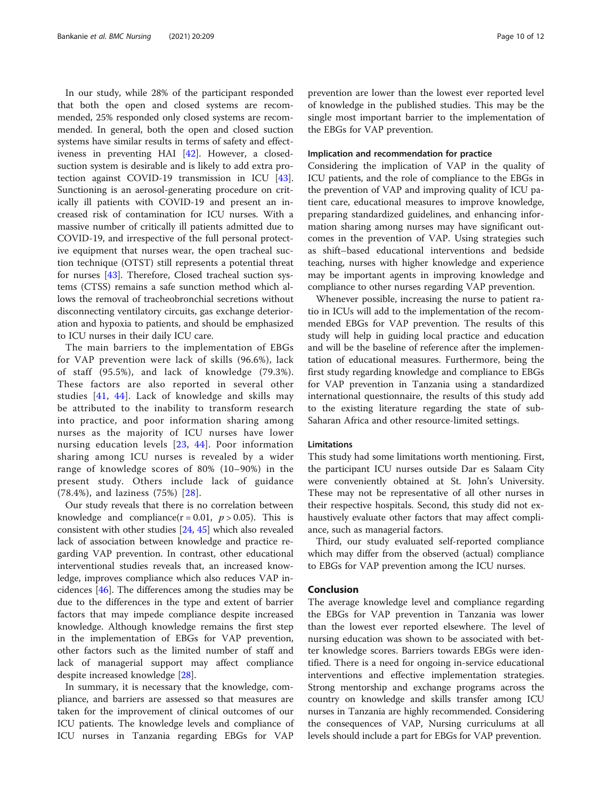In our study, while 28% of the participant responded that both the open and closed systems are recommended, 25% responded only closed systems are recommended. In general, both the open and closed suction systems have similar results in terms of safety and effectiveness in preventing HAI [[42\]](#page-11-0). However, a closedsuction system is desirable and is likely to add extra protection against COVID-19 transmission in ICU [\[43](#page-11-0)]. Sunctioning is an aerosol-generating procedure on critically ill patients with COVID-19 and present an increased risk of contamination for ICU nurses. With a massive number of critically ill patients admitted due to COVID-19, and irrespective of the full personal protective equipment that nurses wear, the open tracheal suction technique (OTST) still represents a potential threat for nurses [\[43](#page-11-0)]. Therefore, Closed tracheal suction systems (CTSS) remains a safe sunction method which allows the removal of tracheobronchial secretions without disconnecting ventilatory circuits, gas exchange deterioration and hypoxia to patients, and should be emphasized to ICU nurses in their daily ICU care.

The main barriers to the implementation of EBGs for VAP prevention were lack of skills (96.6%), lack of staff (95.5%), and lack of knowledge (79.3%). These factors are also reported in several other studies [\[41,](#page-11-0) [44\]](#page-11-0). Lack of knowledge and skills may be attributed to the inability to transform research into practice, and poor information sharing among nurses as the majority of ICU nurses have lower nursing education levels [[23,](#page-10-0) [44\]](#page-11-0). Poor information sharing among ICU nurses is revealed by a wider range of knowledge scores of 80% (10–90%) in the present study. Others include lack of guidance (78.4%), and laziness (75%) [[28\]](#page-10-0).

Our study reveals that there is no correlation between knowledge and compliance( $r = 0.01$ ,  $p > 0.05$ ). This is consistent with other studies [\[24](#page-10-0), [45\]](#page-11-0) which also revealed lack of association between knowledge and practice regarding VAP prevention. In contrast, other educational interventional studies reveals that, an increased knowledge, improves compliance which also reduces VAP incidences [[46](#page-11-0)]. The differences among the studies may be due to the differences in the type and extent of barrier factors that may impede compliance despite increased knowledge. Although knowledge remains the first step in the implementation of EBGs for VAP prevention, other factors such as the limited number of staff and lack of managerial support may affect compliance despite increased knowledge [\[28](#page-10-0)].

In summary, it is necessary that the knowledge, compliance, and barriers are assessed so that measures are taken for the improvement of clinical outcomes of our ICU patients. The knowledge levels and compliance of ICU nurses in Tanzania regarding EBGs for VAP prevention are lower than the lowest ever reported level of knowledge in the published studies. This may be the single most important barrier to the implementation of the EBGs for VAP prevention.

#### Implication and recommendation for practice

Considering the implication of VAP in the quality of ICU patients, and the role of compliance to the EBGs in the prevention of VAP and improving quality of ICU patient care, educational measures to improve knowledge, preparing standardized guidelines, and enhancing information sharing among nurses may have significant outcomes in the prevention of VAP. Using strategies such as shift–based educational interventions and bedside teaching, nurses with higher knowledge and experience may be important agents in improving knowledge and compliance to other nurses regarding VAP prevention.

Whenever possible, increasing the nurse to patient ratio in ICUs will add to the implementation of the recommended EBGs for VAP prevention. The results of this study will help in guiding local practice and education and will be the baseline of reference after the implementation of educational measures. Furthermore, being the first study regarding knowledge and compliance to EBGs for VAP prevention in Tanzania using a standardized international questionnaire, the results of this study add to the existing literature regarding the state of sub-Saharan Africa and other resource-limited settings.

#### **Limitations**

This study had some limitations worth mentioning. First, the participant ICU nurses outside Dar es Salaam City were conveniently obtained at St. John's University. These may not be representative of all other nurses in their respective hospitals. Second, this study did not exhaustively evaluate other factors that may affect compliance, such as managerial factors.

Third, our study evaluated self-reported compliance which may differ from the observed (actual) compliance to EBGs for VAP prevention among the ICU nurses.

#### Conclusion

The average knowledge level and compliance regarding the EBGs for VAP prevention in Tanzania was lower than the lowest ever reported elsewhere. The level of nursing education was shown to be associated with better knowledge scores. Barriers towards EBGs were identified. There is a need for ongoing in-service educational interventions and effective implementation strategies. Strong mentorship and exchange programs across the country on knowledge and skills transfer among ICU nurses in Tanzania are highly recommended. Considering the consequences of VAP, Nursing curriculums at all levels should include a part for EBGs for VAP prevention.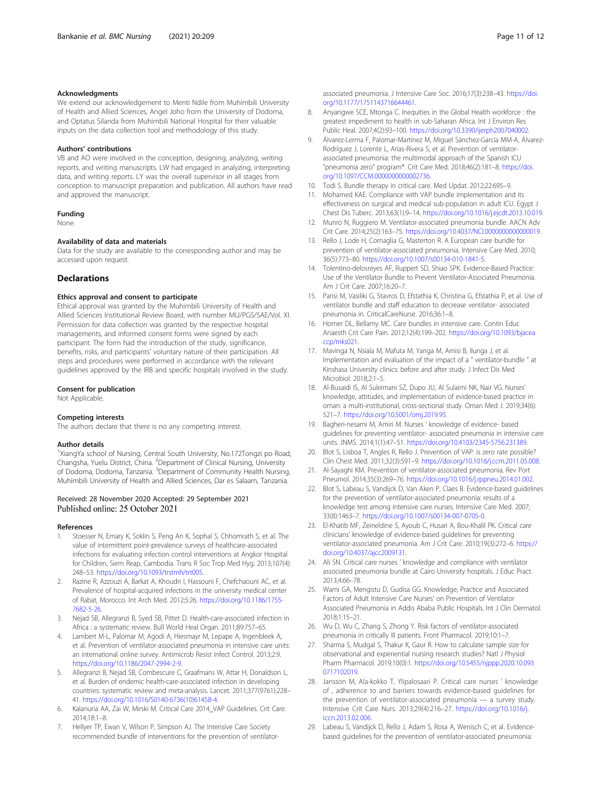#### <span id="page-10-0"></span>Acknowledgments

We extend our acknowledgement to Menti Ndile from Muhimbili University of Health and Allied Sciences, Angel Joho from the University of Dodoma, and Optatus Silanda from Muhimbili National Hospital for their valuable inputs on the data collection tool and methodology of this study.

#### Authors' contributions

VB and AO were involved in the conception, designing, analyzing, writing reports, and writing manuscripts. LW had engaged in analyzing, interpreting data, and writing reports. LY was the overall supervisor in all stages from conception to manuscript preparation and publication. All authors have read and approved the manuscript.

#### Funding

None.

#### Availability of data and materials

Data for the study are available to the corresponding author and may be accessed upon request.

#### **Declarations**

#### Ethics approval and consent to participate

Ethical approval was granted by the Muhimbili University of Health and Allied Sciences Institutional Review Board, with number MU/PGS/SAE/Vol. XI. Permission for data collection was granted by the respective hospital managements, and informed consent forms were signed by each participant. The form had the introduction of the study, significance, benefits, risks, and participants' voluntary nature of their participation. All steps and procedures were performed in accordance with the relevant guidelines approved by the IRB and specific hospitals involved in the study.

#### Consent for publication

Not Applicable.

#### Competing interests

The authors declare that there is no any competing interest.

#### Author details

<sup>1</sup>XiangYa school of Nursing, Central South University, No.172Tongzi po Road, Changsha, Yuelu District, China. <sup>2</sup>Department of Clinical Nursing, University of Dodoma, Dodoma, Tanzania. <sup>3</sup>Department of Community Health Nursing, Muhimbili University of Health and Allied Sciences, Dar es Salaam, Tanzania.

#### Received: 28 November 2020 Accepted: 29 September 2021 Published online: 25 October 2021

#### References

- 1. Stoesser N, Emary K, Soklin S, Peng An K, Sophal S, Chhomrath S, et al. The value of intermittent point-prevalence surveys of healthcare-associated infections for evaluating infection control interventions at Angkor Hospital for Children, Siem Reap, Cambodia. Trans R Soc Trop Med Hyg. 2013;107(4): 248–53. <https://doi.org/10.1093/trstmh/trt005>.
- 2. Razine R, Azzouzi A, Barkat A, Khoudri I, Hassouni F, Chefchaouni AC, et al. Prevalence of hospital-acquired infections in the university medical center of Rabat, Morocco. Int Arch Med. 2012;5:26. [https://doi.org/10.1186/1755-](https://doi.org/10.1186/1755-7682-5-26) [7682-5-26.](https://doi.org/10.1186/1755-7682-5-26)
- 3. Nejad SB, Allegranzi B, Syed SB, Pittet D. Health-care-associated infection in Africa : a systematic review. Bull World Heal Organ. 2011;89:757–65.
- 4. Lambert M-L, Palomar M, Agodi A, Hiesmayr M, Lepape A, Ingenbleek A, et al. Prevention of ventilator-associated pneumonia in intensive care units: an international online survey. Antimicrob Resist Infect Control. 2013;2:9. <https://doi.org/10.1186/2047-2994-2-9>.
- 5. Allegranzi B, Nejad SB, Combescure C, Graafmans W, Attar H, Donaldson L, et al. Burden of endemic health-care-associated infection in developing countries: systematic review and meta-analysis. Lancet. 2011;377(9761):228– 41. [https://doi.org/10.1016/S0140-6736\(10\)61458-4.](https://doi.org/10.1016/S0140-6736(10)61458-4)
- 6. Kalanuria AA, Zai W, Mirski M. Critical Care 2014\_VAP Guidelines. Crit Care. 2014;18:1–8.
- 7. Hellyer TP, Ewan V, Wilson P, Simpson AJ. The Intensive Care Society recommended bundle of interventions for the prevention of ventilator-

associated pneumonia. J Intensive Care Soc. 2016;17(3):238–43. [https://doi.](https://doi.org/10.1177/1751143716644461) [org/10.1177/1751143716644461.](https://doi.org/10.1177/1751143716644461)

- 8. Anyangwe SCE, Mtonga C. Inequities in the Global Health workforce : the greatest impediment to health in sub-Saharan Africa. Int J Environ Res Public Heal. 2007;4(2):93–100. [https://doi.org/10.3390/ijerph2007040002.](https://doi.org/10.3390/ijerph2007040002)
- 9. Álvarez-Lerma F, Palomar-Martínez M, Miguel Sánchez-García MM-A, Álvarez-Rodríguez J, Lorente L, Arias-Rivera S, et al. Prevention of ventilatorassociated pneumonia: the multimodal approach of the Spanish ICU "pneumonia zero" program\*. Crit Care Med. 2018;46(2):181–8. [https://doi.](https://doi.org/10.1097/CCM.0000000000002736) [org/10.1097/CCM.0000000000002736](https://doi.org/10.1097/CCM.0000000000002736).
- 10. Todi S. Bundle therapy in critical care. Med Updat. 2012;22:695–9.
- 11. Mohamed KAE. Compliance with VAP bundle implementation and its effectiveness on surgical and medical sub-population in adult ICU. Egypt J Chest Dis Tuberc. 2013;63(1):9–14. [https://doi.org/10.1016/j.ejcdt.2013.10.019.](https://doi.org/10.1016/j.ejcdt.2013.10.019)
- 12. Munro N, Ruggiero M. Ventilator-associated pneumonia bundle. AACN Adv Crit Care. 2014;25(2):163–75. [https://doi.org/10.4037/NCI.0000000000000019.](https://doi.org/10.4037/NCI.0000000000000019)
- 13. Rello J, Lode H, Cornaglia G, Masterton R. A European care bundle for prevention of ventilator-associated pneumonia. Intensive Care Med. 2010; 36(5):773–80. <https://doi.org/10.1007/s00134-010-1841-5>.
- 14. Tolentino-delosreyes AF, Ruppert SD, Shiao SPK. Evidence-Based Practice: Use of the Ventilator Bundle to Prevent Ventilator-Associated Pneumonia. Am J Crit Care. 2007;16:20–7.
- 15. Parisi M, Vasiliki G, Stavros D, Efstathia K, Christina G, Efstathia P, et al. Use of ventilator bundle and staff education to decrease ventilator- associated pneumonia in. CriticalCareNurse. 2016;36:1–8.
- 16. Horner DL, Bellamy MC. Care bundles in intensive care. Contin Educ Anaesth Crit Care Pain. 2012;12(4):199–202. [https://doi.org/10.1093/bjacea](https://doi.org/10.1093/bjaceaccp/mks021) [ccp/mks021.](https://doi.org/10.1093/bjaceaccp/mks021)
- 17. Mavinga N, Nsiala M, Mafuta M, Yanga M, Amisi B, Ilunga J, et al. Implementation and evaluation of the impact of a " ventilator-bundle " at Kinshasa University clinics: before and after study. J Infect Dis Med Microbiol. 2018;2:1–5.
- 18. Al-Busaidi IS, Al Suleimani SZ, Dupo JU, Al Sulaimi NK, Nair VG. Nurses' knowledge, attitudes, and implementation of evidence-based practice in oman: a multi-institutional, cross-sectional study. Oman Med J. 2019;34(6): 521–7. <https://doi.org/10.5001/omj.2019.95>.
- 19. Bagheri-nesami M, Amiri M. Nurses ' knowledge of evidence- based guidelines for preventing ventilator- associated pneumonia in intensive care units. JNMS. 2014;1(1):47–51. <https://doi.org/10.4103/2345-5756.231389>.
- 20. Blot S, Lisboa T, Angles R, Rello J. Prevention of VAP: is zero rate possible? Clin Chest Med. 2011;32(3):591–9. <https://doi.org/10.1016/j.ccm.2011.05.008>.
- 21. Al-Sayaghi KM. Prevention of ventilator-associated pneumonia. Rev Port Pneumol. 2014;35(3):269–76. <https://doi.org/10.1016/j.rppneu.2014.01.002>.
- 22. Blot S, Labeau S, Vandijck D, Van Aken P, Claes B. Evidence-based guidelines for the prevention of ventilator-associated pneumonia: results of a knowledge test among intensive care nurses. Intensive Care Med. 2007; 33(8):1463–7. <https://doi.org/10.1007/s00134-007-0705-0>.
- 23. El-Khatib MF, Zeineldine S, Ayoub C, Husari A, Bou-Khalil PK. Critical care clinicians' knowledge of evidence-based guidelines for preventing ventilator-associated pneumonia. Am J Crit Care. 2010;19(3):272–6. [https://](https://doi.org/10.4037/ajcc2009131) [doi.org/10.4037/ajcc2009131](https://doi.org/10.4037/ajcc2009131).
- 24. Ali SN. Critical care nurses ' knowledge and compliance with ventilator associated pneumonia bundle at Cairo University hospitals. J Educ Pract. 2013;4:66–78.
- 25. Wami GA, Mengistu D, Gudisa GG. Knowledge, Practice and Associated Factors of Adult Intensive Care Nurses' on Prevention of Ventilator Associated Pneumonia in Addis Ababa Public Hospitals. Int J Clin Dermatol. 2018;1:15–21.
- 26. Wu D, Wu C, Zhang S, Zhong Y. Risk factors of ventilator-associated pneumonia in critically III patients. Front Pharmacol. 2019;10:1–7.
- 27. Sharma S, Mudgal S, Thakur K, Gaur R. How to calculate sample size for observational and experiential nursing research studies? Natl J Physiol Pharm Pharmacol. 2019;10(0):1. [https://doi.org/10.5455/njppp.2020.10.093](https://doi.org/10.5455/njppp.2020.10.0930717102019) [0717102019.](https://doi.org/10.5455/njppp.2020.10.0930717102019)
- 28. Jansson M, Ala-kokko T, Ylipalosaari P. Critical care nurses ' knowledge of , adherence to and barriers towards evidence-based guidelines for the prevention of ventilator-associated pneumonia — a survey study. Intensive Crit Care Nurs. 2013;29(4):216–27. [https://doi.org/10.1016/j.](https://doi.org/10.1016/j.iccn.2013.02.006) [iccn.2013.02.006.](https://doi.org/10.1016/j.iccn.2013.02.006)
- 29. Labeau S, Vandijck D, Rello J, Adam S, Rosa A, Wenisch C, et al. Evidencebased guidelines for the prevention of ventilator-associated pneumonia: